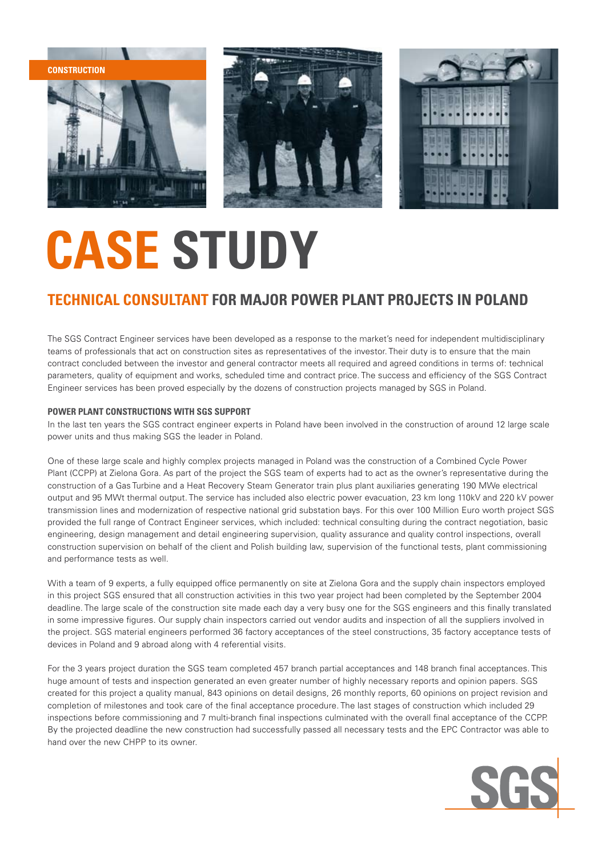





## **CASE STUDY**

### **Technical Consultant for major Power Plant projects in Poland**

The SGS Contract Engineer services have been developed as a response to the market's need for independent multidisciplinary teams of professionals that act on construction sites as representatives of the investor. Their duty is to ensure that the main contract concluded between the investor and general contractor meets all required and agreed conditions in terms of: technical parameters, quality of equipment and works, scheduled time and contract price. The success and efficiency of the SGS Contract Engineer services has been proved especially by the dozens of construction projects managed by SGS in Poland.

#### **POWER PLANT CONSTRUCTIONS WITH SGS SUPPORT**

In the last ten years the SGS contract engineer experts in Poland have been involved in the construction of around 12 large scale power units and thus making SGS the leader in Poland.

One of these large scale and highly complex projects managed in Poland was the construction of a Combined Cycle Power Plant (CCPP) at Zielona Gora. As part of the project the SGS team of experts had to act as the owner's representative during the construction of a Gas Turbine and a Heat Recovery Steam Generator train plus plant auxiliaries generating 190 MWe electrical output and 95 MWt thermal output. The service has included also electric power evacuation, 23 km long 110kV and 220 kV power transmission lines and modernization of respective national grid substation bays. For this over 100 Million Euro worth project SGS provided the full range of Contract Engineer services, which included: technical consulting during the contract negotiation, basic engineering, design management and detail engineering supervision, quality assurance and quality control inspections, overall construction supervision on behalf of the client and Polish building law, supervision of the functional tests, plant commissioning and performance tests as well.

With a team of 9 experts, a fully equipped office permanently on site at Zielona Gora and the supply chain inspectors employed in this project SGS ensured that all construction activities in this two year project had been completed by the September 2004 deadline. The large scale of the construction site made each day a very busy one for the SGS engineers and this finally translated in some impressive figures. Our supply chain inspectors carried out vendor audits and inspection of all the suppliers involved in the project. SGS material engineers performed 36 factory acceptances of the steel constructions, 35 factory acceptance tests of devices in Poland and 9 abroad along with 4 referential visits.

For the 3 years project duration the SGS team completed 457 branch partial acceptances and 148 branch final acceptances. This huge amount of tests and inspection generated an even greater number of highly necessary reports and opinion papers. SGS created for this project a quality manual, 843 opinions on detail designs, 26 monthly reports, 60 opinions on project revision and completion of milestones and took care of the final acceptance procedure. The last stages of construction which included 29 inspections before commissioning and 7 multi-branch final inspections culminated with the overall final acceptance of the CCPP. By the projected deadline the new construction had successfully passed all necessary tests and the EPC Contractor was able to hand over the new CHPP to its owner.